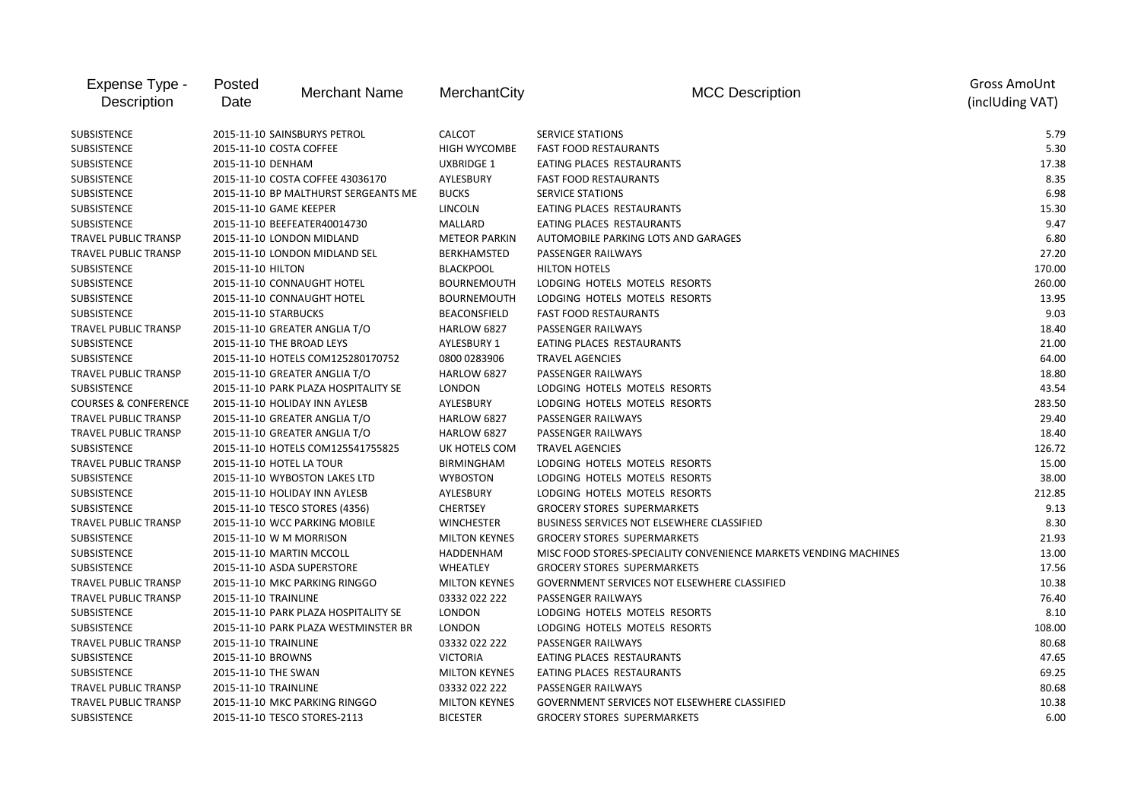| Expense Type -<br>Description   | Posted<br><b>Merchant Name</b><br>Date | MerchantCity         | <b>MCC Description</b>                                           | Gross AmoUnt<br>(inclUding VAT) |
|---------------------------------|----------------------------------------|----------------------|------------------------------------------------------------------|---------------------------------|
|                                 |                                        |                      |                                                                  |                                 |
| SUBSISTENCE                     | 2015-11-10 SAINSBURYS PETROL           | <b>CALCOT</b>        | <b>SERVICE STATIONS</b>                                          | 5.79                            |
| SUBSISTENCE                     | 2015-11-10 COSTA COFFEE                | <b>HIGH WYCOMBE</b>  | <b>FAST FOOD RESTAURANTS</b>                                     | 5.30                            |
| <b>SUBSISTENCE</b>              | 2015-11-10 DENHAM                      | <b>UXBRIDGE 1</b>    | EATING PLACES RESTAURANTS                                        | 17.38                           |
| <b>SUBSISTENCE</b>              | 2015-11-10 COSTA COFFEE 43036170       | AYLESBURY            | <b>FAST FOOD RESTAURANTS</b>                                     | 8.35                            |
| SUBSISTENCE                     | 2015-11-10 BP MALTHURST SERGEANTS ME   | <b>BUCKS</b>         | <b>SERVICE STATIONS</b>                                          | 6.98                            |
| SUBSISTENCE                     | 2015-11-10 GAME KEEPER                 | <b>LINCOLN</b>       | EATING PLACES RESTAURANTS                                        | 15.30                           |
| <b>SUBSISTENCE</b>              | 2015-11-10 BEEFEATER40014730           | MALLARD              | EATING PLACES RESTAURANTS                                        | 9.47                            |
| TRAVEL PUBLIC TRANSP            | 2015-11-10 LONDON MIDLAND              | <b>METEOR PARKIN</b> | AUTOMOBILE PARKING LOTS AND GARAGES                              | 6.80                            |
| TRAVEL PUBLIC TRANSP            | 2015-11-10 LONDON MIDLAND SEL          | BERKHAMSTED          | PASSENGER RAILWAYS                                               | 27.20                           |
| SUBSISTENCE                     | 2015-11-10 HILTON                      | <b>BLACKPOOL</b>     | <b>HILTON HOTELS</b>                                             | 170.00                          |
| SUBSISTENCE                     | 2015-11-10 CONNAUGHT HOTEL             | <b>BOURNEMOUTH</b>   | LODGING HOTELS MOTELS RESORTS                                    | 260.00                          |
| SUBSISTENCE                     | 2015-11-10 CONNAUGHT HOTEL             | <b>BOURNEMOUTH</b>   | LODGING HOTELS MOTELS RESORTS                                    | 13.95                           |
| <b>SUBSISTENCE</b>              | 2015-11-10 STARBUCKS                   | BEACONSFIELD         | <b>FAST FOOD RESTAURANTS</b>                                     | 9.03                            |
| <b>TRAVEL PUBLIC TRANSP</b>     | 2015-11-10 GREATER ANGLIA T/O          | HARLOW 6827          | PASSENGER RAILWAYS                                               | 18.40                           |
| SUBSISTENCE                     | 2015-11-10 THE BROAD LEYS              | AYLESBURY 1          | EATING PLACES RESTAURANTS                                        | 21.00                           |
| SUBSISTENCE                     | 2015-11-10 HOTELS COM125280170752      | 0800 0283906         | <b>TRAVEL AGENCIES</b>                                           | 64.00                           |
| TRAVEL PUBLIC TRANSP            | 2015-11-10 GREATER ANGLIA T/O          | <b>HARLOW 6827</b>   | PASSENGER RAILWAYS                                               | 18.80                           |
| SUBSISTENCE                     | 2015-11-10 PARK PLAZA HOSPITALITY SE   | <b>LONDON</b>        | LODGING HOTELS MOTELS RESORTS                                    | 43.54                           |
| <b>COURSES &amp; CONFERENCE</b> | 2015-11-10 HOLIDAY INN AYLESB          | AYLESBURY            | LODGING HOTELS MOTELS RESORTS                                    | 283.50                          |
| TRAVEL PUBLIC TRANSP            | 2015-11-10 GREATER ANGLIA T/O          | <b>HARLOW 6827</b>   | PASSENGER RAILWAYS                                               | 29.40                           |
| TRAVEL PUBLIC TRANSP            | 2015-11-10 GREATER ANGLIA T/O          | HARLOW 6827          | PASSENGER RAILWAYS                                               | 18.40                           |
| SUBSISTENCE                     | 2015-11-10 HOTELS COM125541755825      | UK HOTELS COM        | <b>TRAVEL AGENCIES</b>                                           | 126.72                          |
| <b>TRAVEL PUBLIC TRANSP</b>     | 2015-11-10 HOTEL LA TOUR               | <b>BIRMINGHAM</b>    | LODGING HOTELS MOTELS RESORTS                                    | 15.00                           |
| <b>SUBSISTENCE</b>              | 2015-11-10 WYBOSTON LAKES LTD          | <b>WYBOSTON</b>      | LODGING HOTELS MOTELS RESORTS                                    | 38.00                           |
| SUBSISTENCE                     | 2015-11-10 HOLIDAY INN AYLESB          | AYLESBURY            | LODGING HOTELS MOTELS RESORTS                                    | 212.85                          |
| SUBSISTENCE                     | 2015-11-10 TESCO STORES (4356)         | <b>CHERTSEY</b>      | <b>GROCERY STORES SUPERMARKETS</b>                               | 9.13                            |
| <b>TRAVEL PUBLIC TRANSP</b>     | 2015-11-10 WCC PARKING MOBILE          | <b>WINCHESTER</b>    | BUSINESS SERVICES NOT ELSEWHERE CLASSIFIED                       | 8.30                            |
| <b>SUBSISTENCE</b>              | 2015-11-10 W M MORRISON                | <b>MILTON KEYNES</b> | <b>GROCERY STORES SUPERMARKETS</b>                               | 21.93                           |
| SUBSISTENCE                     | 2015-11-10 MARTIN MCCOLL               | HADDENHAM            | MISC FOOD STORES-SPECIALITY CONVENIENCE MARKETS VENDING MACHINES | 13.00                           |
| <b>SUBSISTENCE</b>              | 2015-11-10 ASDA SUPERSTORE             | WHEATLEY             | <b>GROCERY STORES SUPERMARKETS</b>                               | 17.56                           |
| <b>TRAVEL PUBLIC TRANSP</b>     | 2015-11-10 MKC PARKING RINGGO          | <b>MILTON KEYNES</b> | GOVERNMENT SERVICES NOT ELSEWHERE CLASSIFIED                     | 10.38                           |
| <b>TRAVEL PUBLIC TRANSP</b>     | 2015-11-10 TRAINLINE                   | 03332 022 222        | PASSENGER RAILWAYS                                               | 76.40                           |
| SUBSISTENCE                     | 2015-11-10 PARK PLAZA HOSPITALITY SE   | <b>LONDON</b>        | LODGING HOTELS MOTELS RESORTS                                    | 8.10                            |
| SUBSISTENCE                     | 2015-11-10 PARK PLAZA WESTMINSTER BR   | <b>LONDON</b>        | LODGING HOTELS MOTELS RESORTS                                    | 108.00                          |
| <b>TRAVEL PUBLIC TRANSP</b>     | 2015-11-10 TRAINLINE                   | 03332 022 222        | PASSENGER RAILWAYS                                               | 80.68                           |
| SUBSISTENCE                     | 2015-11-10 BROWNS                      | <b>VICTORIA</b>      | EATING PLACES RESTAURANTS                                        | 47.65                           |
| <b>SUBSISTENCE</b>              | 2015-11-10 THE SWAN                    | <b>MILTON KEYNES</b> | EATING PLACES RESTAURANTS                                        | 69.25                           |
| TRAVEL PUBLIC TRANSP            | 2015-11-10 TRAINLINE                   | 03332 022 222        | PASSENGER RAILWAYS                                               | 80.68                           |
| <b>TRAVEL PUBLIC TRANSP</b>     | 2015-11-10 MKC PARKING RINGGO          | <b>MILTON KEYNES</b> | <b>GOVERNMENT SERVICES NOT ELSEWHERE CLASSIFIED</b>              | 10.38                           |
| SUBSISTENCE                     | 2015-11-10 TESCO STORES-2113           | <b>BICESTER</b>      | <b>GROCERY STORES SUPERMARKETS</b>                               | 6.00                            |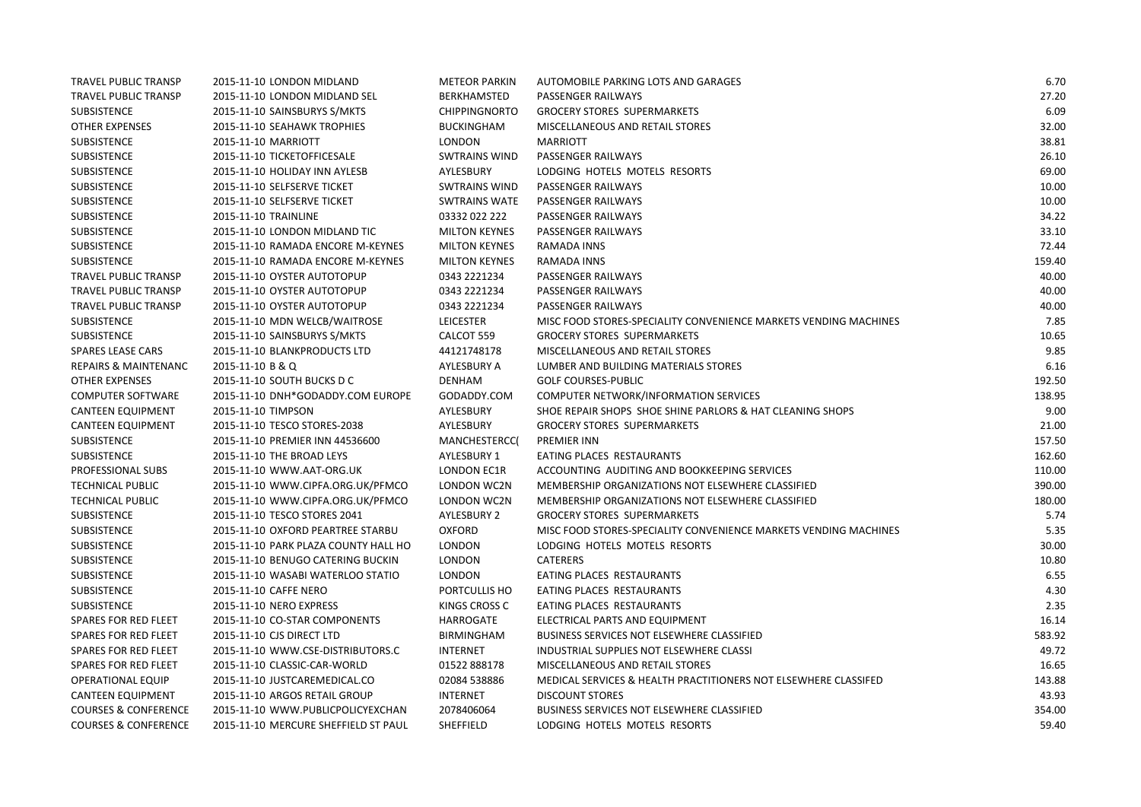| TRAVEL PUBLIC TRANSP            | 2015-11-10 LONDON MIDLAND            | <b>METEOR PARKIN</b> | AUTOMOBILE PARKING LOTS AND GARAGES                              | 6.70   |
|---------------------------------|--------------------------------------|----------------------|------------------------------------------------------------------|--------|
| TRAVEL PUBLIC TRANSP            | 2015-11-10 LONDON MIDLAND SEL        | BERKHAMSTED          | PASSENGER RAILWAYS                                               | 27.20  |
| SUBSISTENCE                     | 2015-11-10 SAINSBURYS S/MKTS         | <b>CHIPPINGNORTO</b> | <b>GROCERY STORES SUPERMARKETS</b>                               | 6.09   |
| <b>OTHER EXPENSES</b>           | 2015-11-10 SEAHAWK TROPHIES          | <b>BUCKINGHAM</b>    | MISCELLANEOUS AND RETAIL STORES                                  | 32.00  |
| SUBSISTENCE                     | 2015-11-10 MARRIOTT                  | <b>LONDON</b>        | <b>MARRIOTT</b>                                                  | 38.81  |
| SUBSISTENCE                     | 2015-11-10 TICKETOFFICESALE          | <b>SWTRAINS WIND</b> | PASSENGER RAILWAYS                                               | 26.10  |
| <b>SUBSISTENCE</b>              | 2015-11-10 HOLIDAY INN AYLESB        | AYLESBURY            | LODGING HOTELS MOTELS RESORTS                                    | 69.00  |
| <b>SUBSISTENCE</b>              | 2015-11-10 SELFSERVE TICKET          | <b>SWTRAINS WIND</b> | PASSENGER RAILWAYS                                               | 10.00  |
| SUBSISTENCE                     | 2015-11-10 SELFSERVE TICKET          | <b>SWTRAINS WATE</b> | PASSENGER RAILWAYS                                               | 10.00  |
| SUBSISTENCE                     | 2015-11-10 TRAINLINE                 | 03332 022 222        | PASSENGER RAILWAYS                                               | 34.22  |
| SUBSISTENCE                     | 2015-11-10 LONDON MIDLAND TIC        | <b>MILTON KEYNES</b> | PASSENGER RAILWAYS                                               | 33.10  |
| <b>SUBSISTENCE</b>              | 2015-11-10 RAMADA ENCORE M-KEYNES    | <b>MILTON KEYNES</b> | RAMADA INNS                                                      | 72.44  |
| <b>SUBSISTENCE</b>              | 2015-11-10 RAMADA ENCORE M-KEYNES    | <b>MILTON KEYNES</b> | RAMADA INNS                                                      | 159.40 |
| TRAVEL PUBLIC TRANSP            | 2015-11-10 OYSTER AUTOTOPUP          | 0343 2221234         | PASSENGER RAILWAYS                                               | 40.00  |
| TRAVEL PUBLIC TRANSP            | 2015-11-10 OYSTER AUTOTOPUP          | 0343 2221234         | PASSENGER RAILWAYS                                               | 40.00  |
| TRAVEL PUBLIC TRANSP            | 2015-11-10 OYSTER AUTOTOPUP          | 0343 2221234         | PASSENGER RAILWAYS                                               | 40.00  |
| SUBSISTENCE                     | 2015-11-10 MDN WELCB/WAITROSE        | <b>LEICESTER</b>     | MISC FOOD STORES-SPECIALITY CONVENIENCE MARKETS VENDING MACHINES | 7.85   |
| SUBSISTENCE                     | 2015-11-10 SAINSBURYS S/MKTS         | CALCOT 559           | <b>GROCERY STORES SUPERMARKETS</b>                               | 10.65  |
| <b>SPARES LEASE CARS</b>        | 2015-11-10 BLANKPRODUCTS LTD         | 44121748178          | MISCELLANEOUS AND RETAIL STORES                                  | 9.85   |
| <b>REPAIRS &amp; MAINTENANC</b> | 2015-11-10 B & Q                     | AYLESBURY A          | LUMBER AND BUILDING MATERIALS STORES                             | 6.16   |
| <b>OTHER EXPENSES</b>           | 2015-11-10 SOUTH BUCKS D C           | <b>DENHAM</b>        | <b>GOLF COURSES-PUBLIC</b>                                       | 192.50 |
| <b>COMPUTER SOFTWARE</b>        | 2015-11-10 DNH*GODADDY.COM EUROPE    | GODADDY.COM          | COMPUTER NETWORK/INFORMATION SERVICES                            | 138.95 |
| <b>CANTEEN EQUIPMENT</b>        | 2015-11-10 TIMPSON                   | AYLESBURY            | SHOE REPAIR SHOPS SHOE SHINE PARLORS & HAT CLEANING SHOPS        | 9.00   |
| <b>CANTEEN EQUIPMENT</b>        | 2015-11-10 TESCO STORES-2038         | AYLESBURY            | <b>GROCERY STORES SUPERMARKETS</b>                               | 21.00  |
| SUBSISTENCE                     | 2015-11-10 PREMIER INN 44536600      | MANCHESTERCC(        | <b>PREMIER INN</b>                                               | 157.50 |
| <b>SUBSISTENCE</b>              | 2015-11-10 THE BROAD LEYS            | AYLESBURY 1          | EATING PLACES RESTAURANTS                                        | 162.60 |
| PROFESSIONAL SUBS               | 2015-11-10 WWW.AAT-ORG.UK            | LONDON EC1R          | ACCOUNTING AUDITING AND BOOKKEEPING SERVICES                     | 110.00 |
| <b>TECHNICAL PUBLIC</b>         | 2015-11-10 WWW.CIPFA.ORG.UK/PFMCO    | LONDON WC2N          | MEMBERSHIP ORGANIZATIONS NOT ELSEWHERE CLASSIFIED                | 390.00 |
| <b>TECHNICAL PUBLIC</b>         | 2015-11-10 WWW.CIPFA.ORG.UK/PFMCO    | LONDON WC2N          | MEMBERSHIP ORGANIZATIONS NOT ELSEWHERE CLASSIFIED                | 180.00 |
| <b>SUBSISTENCE</b>              | 2015-11-10 TESCO STORES 2041         | <b>AYLESBURY 2</b>   | <b>GROCERY STORES SUPERMARKETS</b>                               | 5.74   |
| SUBSISTENCE                     | 2015-11-10 OXFORD PEARTREE STARBU    | <b>OXFORD</b>        | MISC FOOD STORES-SPECIALITY CONVENIENCE MARKETS VENDING MACHINES | 5.35   |
| SUBSISTENCE                     | 2015-11-10 PARK PLAZA COUNTY HALL HO | <b>LONDON</b>        | LODGING HOTELS MOTELS RESORTS                                    | 30.00  |
| SUBSISTENCE                     | 2015-11-10 BENUGO CATERING BUCKIN    | LONDON               | <b>CATERERS</b>                                                  | 10.80  |
| SUBSISTENCE                     | 2015-11-10 WASABI WATERLOO STATIO    | <b>LONDON</b>        | EATING PLACES RESTAURANTS                                        | 6.55   |
| SUBSISTENCE                     | 2015-11-10 CAFFE NERO                | PORTCULLIS HO        | EATING PLACES RESTAURANTS                                        | 4.30   |
| SUBSISTENCE                     | 2015-11-10 NERO EXPRESS              | KINGS CROSS C        | EATING PLACES RESTAURANTS                                        | 2.35   |
| SPARES FOR RED FLEET            | 2015-11-10 CO-STAR COMPONENTS        | <b>HARROGATE</b>     | ELECTRICAL PARTS AND EQUIPMENT                                   | 16.14  |
| SPARES FOR RED FLEET            | 2015-11-10 CJS DIRECT LTD            | <b>BIRMINGHAM</b>    | <b>BUSINESS SERVICES NOT ELSEWHERE CLASSIFIED</b>                | 583.92 |
| SPARES FOR RED FLEET            | 2015-11-10 WWW.CSE-DISTRIBUTORS.C    | <b>INTERNET</b>      | INDUSTRIAL SUPPLIES NOT ELSEWHERE CLASSI                         | 49.72  |
| SPARES FOR RED FLEET            | 2015-11-10 CLASSIC-CAR-WORLD         | 01522 888178         | MISCELLANEOUS AND RETAIL STORES                                  | 16.65  |
| <b>OPERATIONAL EQUIP</b>        | 2015-11-10 JUSTCAREMEDICAL.CO        | 02084 538886         | MEDICAL SERVICES & HEALTH PRACTITIONERS NOT ELSEWHERE CLASSIFED  | 143.88 |
| <b>CANTEEN EQUIPMENT</b>        | 2015-11-10 ARGOS RETAIL GROUP        | <b>INTERNET</b>      | <b>DISCOUNT STORES</b>                                           | 43.93  |
| <b>COURSES &amp; CONFERENCE</b> | 2015-11-10 WWW.PUBLICPOLICYEXCHAN    | 2078406064           | BUSINESS SERVICES NOT ELSEWHERE CLASSIFIED                       | 354.00 |
| <b>COURSES &amp; CONFERENCE</b> | 2015-11-10 MERCURE SHEFFIELD ST PAUL | SHEFFIELD            | LODGING HOTELS MOTELS RESORTS                                    | 59.40  |